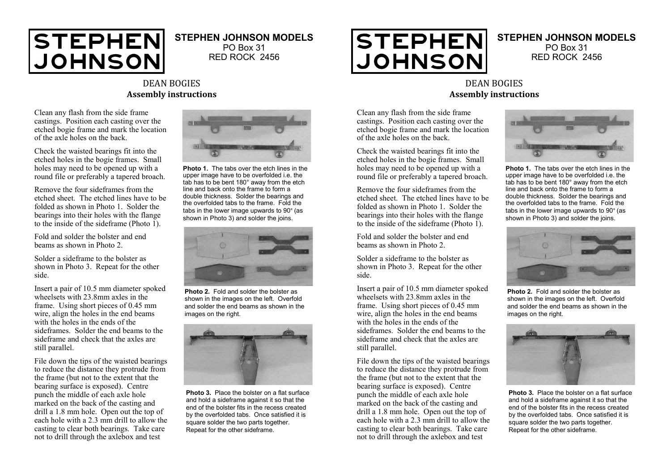

## **STEPHEN JOHNSON MODELS**

PO Box 31 RED ROCK 2456

## DEAN BOGIES **Assembly instructions**

Clean any flash from the side frame castings. Position each casting over the etched bogie frame and mark the location of the axle holes on the back.

Check the waisted bearings fit into the etched holes in the bogie frames. Small holes may need to be opened up with a round file or preferably a tapered broach.

Remove the four sideframes from the etched sheet. The etched lines have to be folded as shown in Photo 1. Solder the bearings into their holes with the flange to the inside of the sideframe (Photo  $1$ ).

Fold and solder the bolster and end beams as shown in Photo 2.

Solder a sideframe to the bolster as shown in Photo 3. Repeat for the other side.

Insert a pair of 10.5 mm diameter spoked wheelsets with 23.8mm axles in the frame. Using short pieces of 0.45 mm wire, align the holes in the end beams with the holes in the ends of the sideframes. Solder the end beams to the sideframe and check that the axles are still parallel.

File down the tips of the waisted bearings to reduce the distance they protrude from the frame (but not to the extent that the bearing surface is exposed). Centre punch the middle of each axle hole marked on the back of the casting and drill a 1.8 mm hole. Open out the top of each hole with a 2.3 mm drill to allow the casting to clear both bearings. Take care not to drill through the axlebox and test



**Photo 1.** The tabs over the etch lines in the upper image have to be overfolded i.e. the tab has to be bent 180° away from the etch line and back onto the frame to form a double thickness. Solder the bearings and the overfolded tabs to the frame. Fold the tabs in the lower image upwards to 90° (as shown in Photo 3) and solder the joins.



**Photo 2.** Fold and solder the bolster as shown in the images on the left. Overfold and solder the end beams as shown in the images on the right.



**Photo 3.** Place the bolster on a flat surface and hold a sideframe against it so that the end of the bolster fits in the recess created by the overfolded tabs. Once satisfied it is square solder the two parts together. Repeat for the other sideframe.



## **STEPHEN JOHNSON MODELS** PO Box 31 RED ROCK 2456

## DEAN BOGIES **Assembly instructions**

Clean any flash from the side frame castings. Position each casting over the etched bogie frame and mark the location of the axle holes on the back.

Check the waisted bearings fit into the etched holes in the bogie frames. Small holes may need to be opened up with a round file or preferably a tapered broach.

Remove the four sideframes from the etched sheet. The etched lines have to be folded as shown in Photo 1. Solder the bearings into their holes with the flange to the inside of the sideframe (Photo  $1$ ).

Fold and solder the bolster and end beams as shown in Photo 2.

Solder a sideframe to the bolster as shown in Photo 3. Repeat for the other side.

Insert a pair of 10.5 mm diameter spoked wheelsets with 23.8mm axles in the frame. Using short pieces of 0.45 mm wire, align the holes in the end beams with the holes in the ends of the sideframes. Solder the end beams to the sideframe and check that the axles are still parallel.

File down the tips of the waisted bearings to reduce the distance they protrude from the frame (but not to the extent that the bearing surface is exposed). Centre punch the middle of each axle hole marked on the back of the casting and drill a 1.8 mm hole. Open out the top of each hole with a 2.3 mm drill to allow the casting to clear both bearings. Take care not to drill through the axlebox and test



**Photo 1.** The tabs over the etch lines in the upper image have to be overfolded i.e. the tab has to be bent 180° away from the etch line and back onto the frame to form a double thickness. Solder the bearings and the overfolded tabs to the frame. Fold the tabs in the lower image upwards to 90° (as shown in Photo 3) and solder the joins.



**Photo 2.** Fold and solder the bolster as shown in the images on the left. Overfold and solder the end beams as shown in the images on the right.



**Photo 3.** Place the bolster on a flat surface and hold a sideframe against it so that the end of the bolster fits in the recess created by the overfolded tabs. Once satisfied it is square solder the two parts together. Repeat for the other sideframe.